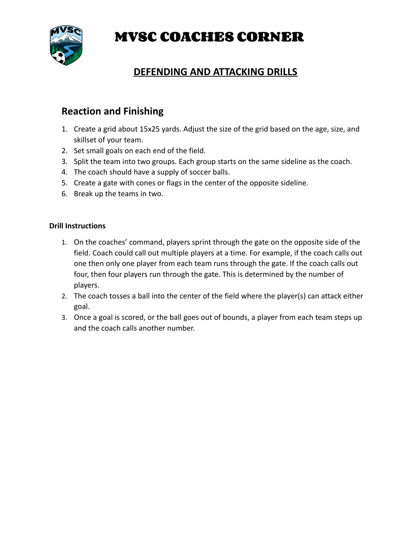**MVSC COACHES CORNER**



# **DEFENDING AND ATTACKING DRILLS**

## **Reaction and Finishing**

- 1. Create a grid about 15x25 yards. Adjust the size of the grid based on the age, size, and skillset of your team.
- 2. Set small goals on each end of the field.
- 3. Split the team into two groups. Each group starts on the same sideline as the coach.
- 4. The coach should have a supply of soccer balls.
- 5. Create a gate with cones or flags in the center of the opposite sideline.
- 6. Break up the teams in two.

### **Drill Instructions**

- 1. On the coaches' command, players sprint through the gate on the opposite side of the field. Coach could call out multiple players at a time. For example, if the coach calls out one then only one player from each team runs through the gate. If the coach calls out four, then four players run through the gate. This is determined by the number of players.
- 2. The coach tosses a ball into the center of the field where the player(s) can attack either goal.
- 3. Once a goal is scored, or the ball goes out of bounds, a player from each team steps up and the coach calls another number.